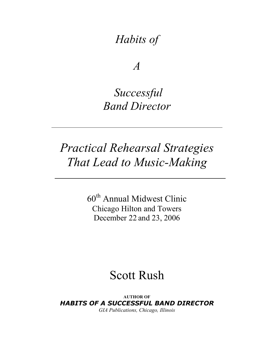# *Habits of*

*A*

# *Successful Band Director*

# *Practical Rehearsal Strategies That Lead to Music-Making*

60th Annual Midwest Clinic Chicago Hilton and Towers December 22 and 23, 2006

# Scott Rush

**AUTHOR OF** *HABITS OF A SUCCESSFUL BAND DIRECTOR GIA Publications, Chicago, Illinois*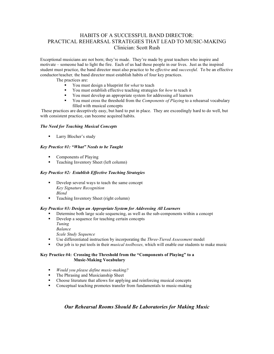#### HABITS OF A SUCCESSFUL BAND DIRECTOR: PRACTICAL REHEARSAL STRATEGIES THAT LEAD TO MUSIC-MAKING Clinician: Scott Rush

Exceptional musicians are not born; they're made. They're made by great teachers who inspire and motivate – someone had to light the fire. Each of us had those people in our lives. Just as the inspired student must practice, the band director must also practice to be *effective* and *successful.* To be an effective conductor/teacher*,* the band director must establish habits of four key practices.

The practices are:

- You must design a blueprint for *what* to teach
- You must establish effective teaching strategies for *how* to teach it
- You must develop an appropriate system for addressing *all* learners
- You must cross the threshold from the *Components of Playing* to a rehearsal vocabulary filled with musical concepts

These practices are deceptively easy, but hard to put in place. They are exceedingly hard to do well, but with consistent practice, can become acquired habits.

#### *The Need for Teaching Musical Concepts*

**Larry Blocher's study** 

#### *Key Practice #1: "What" Needs to be Taught*

- Components of Playing
- **Teaching Inventory Sheet (left column)**

#### *Key Practice #2: Establish Effective Teaching Strategies*

- Develop several ways to teach the same concept *Key Signature Recognition Blend*
- Teaching Inventory Sheet (right column)

#### *Key Practice #3: Design an Appropriate System for Addressing All Learners*

- Determine both large scale sequencing, as well as the sub-components within a concept
- Develop a sequence for teaching certain concepts *Tuning*
	- *Balance*

*Scale Study Sequence*

- Use differentiated instruction by incorporating the *Three-Tiered Assessment* model
- Our job is to put tools in their *musical toolboxes,* which will enable our students to make music

#### **Key Practice #4: Crossing the Threshold from the "Components of Playing" to a Music-Making Vocabulary**

- *Would you please define music-making?*
- **The Phrasing and Musicianship Sheet**
- Choose literature that allows for applying and reinforcing musical concepts
- Conceptual teaching promotes transfer from fundamentals to music-making

#### *Our Rehearsal Rooms Should Be Laboratories for Making Music*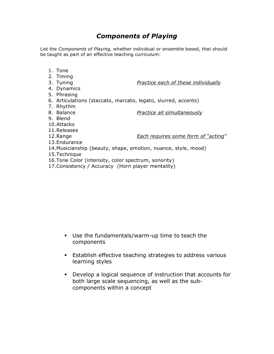## *Components of Playing*

List the *Components of Playing,* whether individual or ensemble based, that should be taught as part of an effective teaching curriculum:

- 1. Tone
- 2. Timing
- 3. Tuning *Practice each of these individually*
- 4. Dynamics
- 5. Phrasing
- 6. Articulations (staccato, marcato, legato, slurred, accents)
- 7. Rhythm
- 
- 8. Balance *Practice all simultaneously*
- 9. Blend
- 10.Attacks
- 11.Releases
- 

12.Range *Each requires some form of "acting"*

- 13.Endurance
- 14.Musicianship (beauty, shape, emotion, nuance, style, mood)
- 15.Technique
- 16.Tone Color (intensity, color spectrum, sonority)
- 17.Consistency / Accuracy (Horn player mentality)

- Use the fundamentals/warm-up time to teach the components
- Establish effective teaching strategies to address various learning styles
- Develop a logical sequence of instruction that accounts for both large scale sequencing, as well as the subcomponents within a concept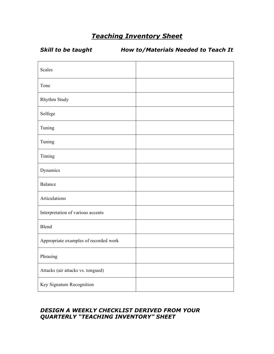# *Teaching Inventory Sheet*

*Skill to be taught How to/Materials Needed to Teach It*

| Scales                                |  |
|---------------------------------------|--|
| Tone                                  |  |
| Rhythm Study                          |  |
| Solfege                               |  |
| Tuning                                |  |
| Tuning                                |  |
| Timing                                |  |
| Dynamics                              |  |
| Balance                               |  |
| Articulations                         |  |
| Interpretation of various accents     |  |
| Blend                                 |  |
| Appropriate examples of recorded work |  |
| Phrasing                              |  |
| Attacks (air attacks vs. tongued)     |  |
| Key Signature Recognition             |  |

### *DESIGN A WEEKLY CHECKLIST DERIVED FROM YOUR QUARTERLY "TEACHING INVENTORY" SHEET*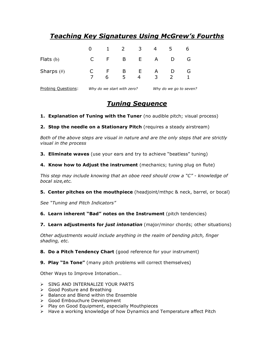# *Teaching Key Signatures Using McGrew's Fourths*

|               | 0 | $\mathbf 1$ | $\overline{2}$    | $\overline{\mathbf{3}}$ | 4      | 5 | b |
|---------------|---|-------------|-------------------|-------------------------|--------|---|---|
| Flats $(b)$   |   | F.          | $\mathsf{B}$      | E                       | A      | D | G |
| Sharps $(\#)$ |   | F.<br>6     | $\mathsf{B}$<br>5 | E.<br>4                 | A<br>3 | 2 | G |

Probing Questions: *Why do we start with zero? Why do we go to seven?*

## *Tuning Sequence*

**1. Explanation of Tuning with the Tuner** (no audible pitch; visual process)

**2. Stop the needle on a Stationary Pitch** (requires a steady airstream)

*Both of the above steps are visual in nature and are the only steps that are strictly visual in the process*

**3. Eliminate waves** (use your ears and try to achieve "beatless" tuning)

**4. Know how to Adjust the instrument** (mechanics; tuning plug on flute)

*This step may include knowing that an oboe reed should crow a "C" - knowledge of bocal size,etc.*

**5. Center pitches on the mouthpiece** (headjoint/mthpc & neck, barrel, or bocal)

*See "Tuning and Pitch Indicators"*

**6. Learn inherent "Bad" notes on the Instrument** (pitch tendencies)

**7. Learn adjustments for** *just intonation* (major/minor chords; other situations)

*Other adjustments would include anything in the realm of bending pitch, finger shading, etc.*

**8. Do a Pitch Tendency Chart** (good reference for your instrument)

**9. Play "In Tone"** (many pitch problems will correct themselves)

Other Ways to Improve Intonation…

- SING AND INTERNALIZE YOUR PARTS
- Good Posture and Breathing
- $\triangleright$  Balance and Blend within the Ensemble
- Good Embouchure Development
- $\triangleright$  Play on Good Equipment, especially Mouthpieces
- $\triangleright$  Have a working knowledge of how Dynamics and Temperature affect Pitch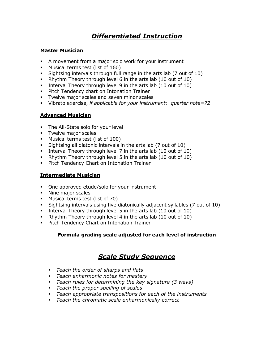# *Differentiated Instruction*

### **Master Musician**

- A movement from a major solo work for your instrument
- Musical terms test (list of 160)
- Sightsing intervals through full range in the arts lab (7 out of 10)
- Rhythm Theory through level 6 in the arts lab (10 out of 10)
- Interval Theory through level 9 in the arts lab (10 out of 10)
- **Pitch Tendency chart on Intonation Trainer**
- **Twelve major scales and seven minor scales**
- Vibrato exercise, *if applicable for your instrument: quarter note=72*

### **Advanced Musician**

- The All-State solo for your level
- **Twelve major scales**
- Musical terms test (list of 100)
- Sightsing all diatonic intervals in the arts lab (7 out of 10)
- Interval Theory through level 7 in the arts lab (10 out of 10)
- Rhythm Theory through level 5 in the arts lab (10 out of 10)
- **Pitch Tendency Chart on Intonation Trainer**

### **Intermediate Musician**

- One approved etude/solo for your instrument
- Nine major scales
- **Musical terms test (list of 70)**
- Sightsing intervals using five diatonically adjacent syllables (7 out of 10)
- Interval Theory through level 5 in the arts lab (10 out of 10)
- Rhythm Theory through level 4 in the arts lab (10 out of 10)
- **Pitch Tendency Chart on Intonation Trainer**

### **Formula grading scale adjusted for each level of instruction**

# *Scale Study Sequence*

- *Teach the order of sharps and flats*
- *Teach enharmonic notes for mastery*
- *Teach rules for determining the key signature (3 ways)*
- *Teach the proper spelling of scales*
- *Teach appropriate transpositions for each of the instruments*
- *Teach the chromatic scale enharmonically correct*